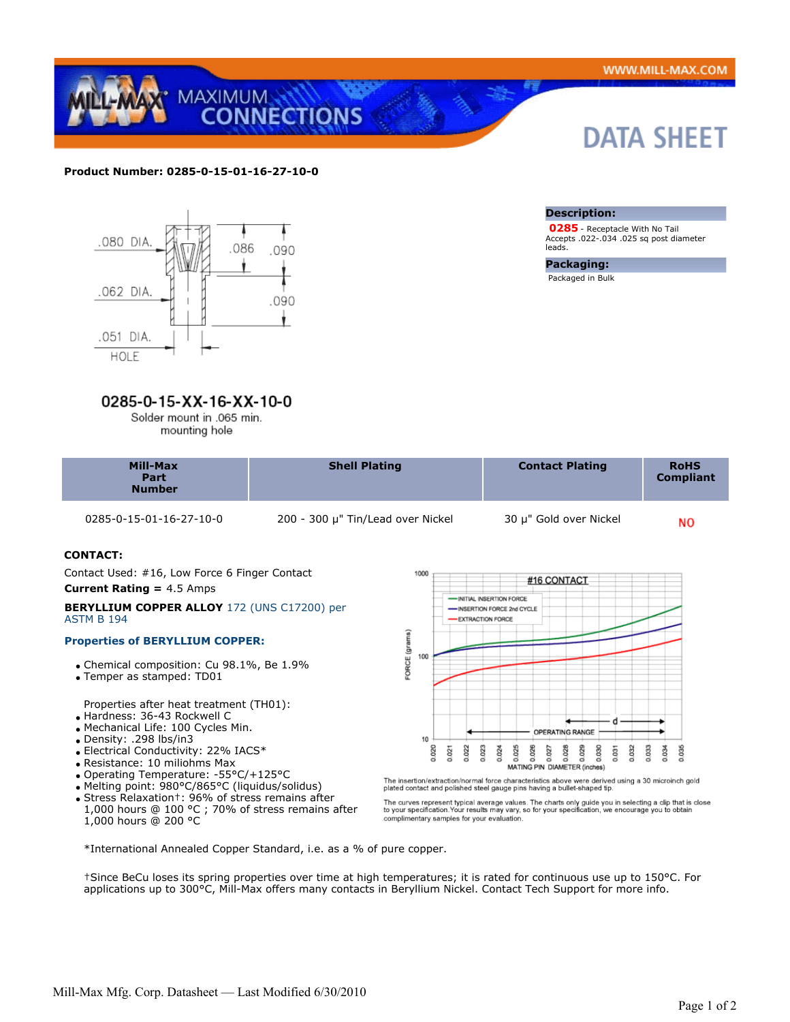DATA SHEET



## **Product Number: 0285-0-15-01-16-27-10-0**



## 0285-0-15-XX-16-XX-10-0

Solder mount in .065 min.

| mounting hole |  |  |
|---------------|--|--|
|               |  |  |

| <b>Number</b> | Mill-Max<br>Part | <b>Shell Plating</b> | <b>Contact Plating</b> | <b>RoHS</b><br><b>Compliant</b> |
|---------------|------------------|----------------------|------------------------|---------------------------------|
|---------------|------------------|----------------------|------------------------|---------------------------------|

0285-0-15-01-16-27-10-0 200 - 300 μ" Tin/Lead over Nickel 30 μ" Gold over Nickel

**Description:**

**Packaging:** Packaged in Bulk

leads.

 **0285** - Receptacle With No Tail Accepts .022-.034 .025 sq post diameter

**NO** 

## **CONTACT:**

 Contact Used: #16, Low Force 6 Finger Contact **Current Rating =** 4.5 Amps

#### **BERYLLIUM COPPER ALLOY** 172 (UNS C17200) per ASTM B 194

## **Properties of BERYLLIUM COPPER:**

- Chemical composition: Cu 98.1%, Be 1.9%
- Temper as stamped: TD01

Properties after heat treatment (TH01):

- Hardness: 36-43 Rockwell C
- Mechanical Life: 100 Cycles Min.
- Density: .298 lbs/in3
- Electrical Conductivity: 22% IACS\*
- Resistance: 10 miliohms Max
- Operating Temperature: -55°C/+125°C
- Melting point: 980°C/865°C (liquidus/solidus)
- Stress Relaxation†: 96% of stress remains after 1,000 hours @ 100 °C ; 70% of stress remains after 1,000 hours @ 200 °C



The insertion/extraction/normal force characteristics above were derived using a 30 microinch gold plated contact and polished steel gauge pins having a bullet-shaped tip.

The curves represent typical average values. The charts only guide you in selecting a clip that is close<br>to your specification.Your results may vary, so for your specification, we encourage you to obtain<br>complimentary samp

\*International Annealed Copper Standard, i.e. as a % of pure copper.

†Since BeCu loses its spring properties over time at high temperatures; it is rated for continuous use up to 150°C. For applications up to 300°C, Mill-Max offers many contacts in Beryllium Nickel. Contact Tech Support for more info.